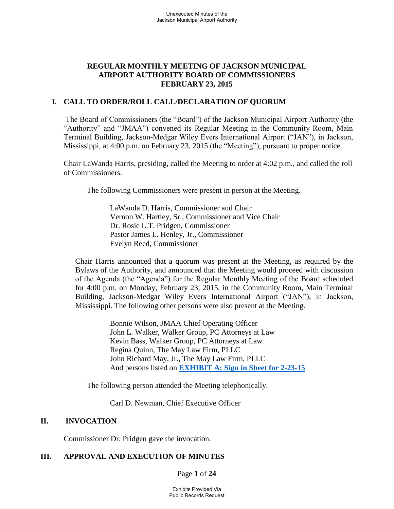# **REGULAR MONTHLY MEETING OF JACKSON MUNICIPAL AIRPORT AUTHORITY BOARD OF COMMISSIONERS FEBRUARY 23, 2015**

### **I. CALL TO ORDER/ROLL CALL/DECLARATION OF QUORUM**

 The Board of Commissioners (the "Board") of the Jackson Municipal Airport Authority (the "Authority" and "JMAA") convened its Regular Meeting in the Community Room, Main Terminal Building, Jackson-Medgar Wiley Evers International Airport ("JAN"), in Jackson, Mississippi, at 4:00 p.m. on February 23, 2015 (the "Meeting"), pursuant to proper notice.

Chair LaWanda Harris, presiding, called the Meeting to order at 4:02 p.m., and called the roll of Commissioners.

The following Commissioners were present in person at the Meeting.

LaWanda D. Harris, Commissioner and Chair Vernon W. Hartley, Sr., Commissioner and Vice Chair Dr. Rosie L.T. Pridgen, Commissioner Pastor James L. Henley, Jr., Commissioner Evelyn Reed, Commissioner

Chair Harris announced that a quorum was present at the Meeting, as required by the Bylaws of the Authority, and announced that the Meeting would proceed with discussion of the Agenda (the "Agenda") for the Regular Monthly Meeting of the Board scheduled for 4:00 p.m. on Monday, February 23, 2015, in the Community Room, Main Terminal Building, Jackson-Medgar Wiley Evers International Airport ("JAN"), in Jackson, Mississippi. The following other persons were also present at the Meeting.

> Bonnie Wilson, JMAA Chief Operating Officer John L. Walker, Walker Group, PC Attorneys at Law Kevin Bass, Walker Group, PC Attorneys at Law Regina Quinn, The May Law Firm, PLLC John Richard May, Jr., The May Law Firm, PLLC And persons listed on **[EXHIBIT A: Sign in Sheet for 2-23-15](Sign-In%20Sheet%20Regular%20Board%20Meeting%20February%2023%202015.pdf)**

The following person attended the Meeting telephonically.

Carl D. Newman, Chief Executive Officer

### **II. INVOCATION**

Commissioner Dr. Pridgen gave the invocation.

# **III. APPROVAL AND EXECUTION OF MINUTES**

Page **1** of **24**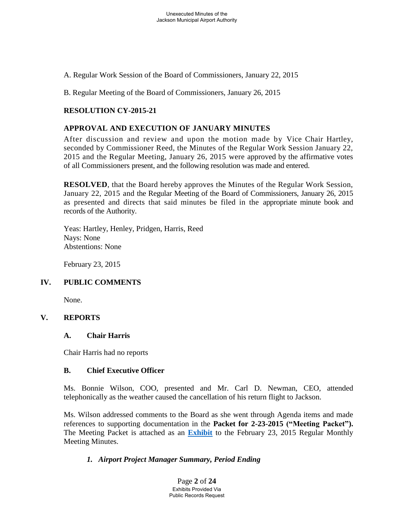A. Regular Work Session of the Board of Commissioners, January 22, 2015

B. Regular Meeting of the Board of Commissioners, January 26, 2015

# **RESOLUTION CY-2015-21**

# **APPROVAL AND EXECUTION OF JANUARY MINUTES**

After discussion and review and upon the motion made by Vice Chair Hartley, seconded by Commissioner Reed, the Minutes of the Regular Work Session January 22, 2015 and the Regular Meeting, January 26, 2015 were approved by the affirmative votes of all Commissioners present, and the following resolution was made and entered.

**RESOLVED**, that the Board hereby approves the Minutes of the Regular Work Session, January 22, 2015 and the Regular Meeting of the Board of Commissioners, January 26, 2015 as presented and directs that said minutes be filed in the appropriate minute book and records of the Authority.

Yeas: Hartley, Henley, Pridgen, Harris, Reed Nays: None Abstentions: None

February 23, 2015

# **IV. PUBLIC COMMENTS**

None.

# **V. REPORTS**

# **A. Chair Harris**

Chair Harris had no reports

# **B. Chief Executive Officer**

Ms. Bonnie Wilson, COO, presented and Mr. Carl D. Newman, CEO, attended telephonically as the weather caused the cancellation of his return flight to Jackson.

Ms. Wilson addressed comments to the Board as she went through Agenda items and made references to supporting documentation in the **Packet for 2-23-2015 ("Meeting Packet").**  The Meeting Packet is attached as an **[Exhibit](Packet.pdf)** to the February 23, 2015 Regular Monthly Meeting Minutes.

# *1. Airport Project Manager Summary, Period Ending*

Page **2** of **24** Exhibits Provided Via Public Records Request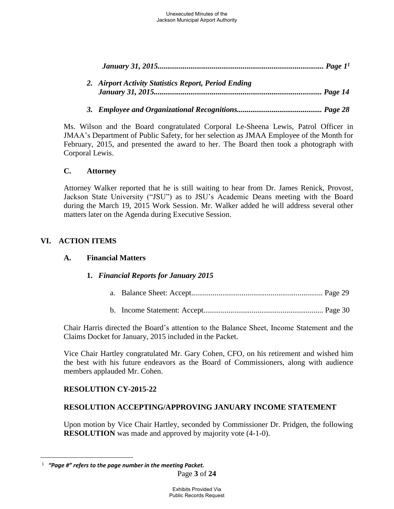| 2. Airport Activity Statistics Report, Period Ending |  |
|------------------------------------------------------|--|
|                                                      |  |

*3. Employee and Organizational Recognitions............................................ Page 28*

Ms. Wilson and the Board congratulated Corporal Le-Sheena Lewis, Patrol Officer in JMAA's Department of Public Safety, for her selection as JMAA Employee of the Month for February, 2015, and presented the award to her. The Board then took a photograph with Corporal Lewis.

# **C. Attorney**

Attorney Walker reported that he is still waiting to hear from Dr. James Renick, Provost, Jackson State University ("JSU") as to JSU's Academic Deans meeting with the Board during the March 19, 2015 Work Session. Mr. Walker added he will address several other matters later on the Agenda during Executive Session.

# **VI. ACTION ITEMS**

 $\overline{a}$ 

### **A. Financial Matters**

# **1.** *Financial Reports for January 2015*

- a. Balance Sheet: Accept.................................................................... Page 29
- b. Income Statement: Accept.............................................................. Page 30

Chair Harris directed the Board's attention to the Balance Sheet, Income Statement and the Claims Docket for January, 2015 included in the Packet.

Vice Chair Hartley congratulated Mr. Gary Cohen, CFO, on his retirement and wished him the best with his future endeavors as the Board of Commissioners, along with audience members applauded Mr. Cohen.

# **RESOLUTION CY-2015-22**

# **RESOLUTION ACCEPTING/APPROVING JANUARY INCOME STATEMENT**

Upon motion by Vice Chair Hartley, seconded by Commissioner Dr. Pridgen, the following **RESOLUTION** was made and approved by majority vote  $(4-1-0)$ .

<sup>1</sup>  *"Page #" refers to the page number in the meeting Packet.*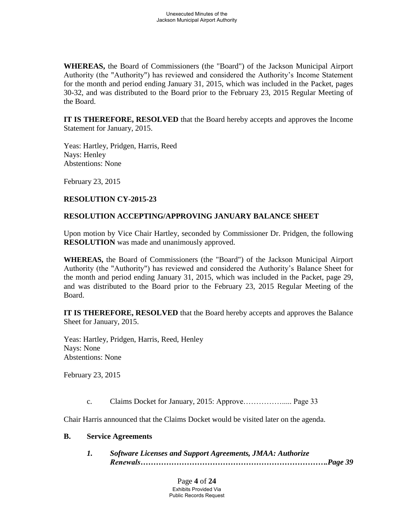**WHEREAS,** the Board of Commissioners (the "Board") of the Jackson Municipal Airport Authority (the "Authority") has reviewed and considered the Authority's Income Statement for the month and period ending January 31, 2015, which was included in the Packet, pages 30-32, and was distributed to the Board prior to the February 23, 2015 Regular Meeting of the Board.

**IT IS THEREFORE, RESOLVED** that the Board hereby accepts and approves the Income Statement for January, 2015.

Yeas: Hartley, Pridgen, Harris, Reed Nays: Henley Abstentions: None

February 23, 2015

### **RESOLUTION CY-2015-23**

### **RESOLUTION ACCEPTING/APPROVING JANUARY BALANCE SHEET**

Upon motion by Vice Chair Hartley, seconded by Commissioner Dr. Pridgen, the following **RESOLUTION** was made and unanimously approved.

**WHEREAS,** the Board of Commissioners (the "Board") of the Jackson Municipal Airport Authority (the "Authority") has reviewed and considered the Authority's Balance Sheet for the month and period ending January 31, 2015, which was included in the Packet, page 29, and was distributed to the Board prior to the February 23, 2015 Regular Meeting of the Board.

**IT IS THEREFORE, RESOLVED** that the Board hereby accepts and approves the Balance Sheet for January, 2015.

Yeas: Hartley, Pridgen, Harris, Reed, Henley Nays: None Abstentions: None

February 23, 2015

c. Claims Docket for January, 2015: Approve……………..... Page 33

Chair Harris announced that the Claims Docket would be visited later on the agenda.

#### **B. Service Agreements**

 *1. Software Licenses and Support Agreements, JMAA: Authorize Renewals……………………………………………………………….Page 39*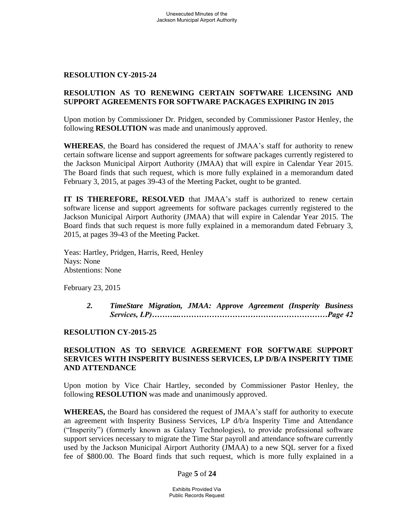#### **RESOLUTION CY-2015-24**

### **RESOLUTION AS TO RENEWING CERTAIN SOFTWARE LICENSING AND SUPPORT AGREEMENTS FOR SOFTWARE PACKAGES EXPIRING IN 2015**

Upon motion by Commissioner Dr. Pridgen, seconded by Commissioner Pastor Henley, the following **RESOLUTION** was made and unanimously approved.

**WHEREAS**, the Board has considered the request of JMAA's staff for authority to renew certain software license and support agreements for software packages currently registered to the Jackson Municipal Airport Authority (JMAA) that will expire in Calendar Year 2015. The Board finds that such request, which is more fully explained in a memorandum dated February 3, 2015, at pages 39-43 of the Meeting Packet, ought to be granted.

**IT IS THEREFORE, RESOLVED** that JMAA's staff is authorized to renew certain software license and support agreements for software packages currently registered to the Jackson Municipal Airport Authority (JMAA) that will expire in Calendar Year 2015. The Board finds that such request is more fully explained in a memorandum dated February 3, 2015, at pages 39-43 of the Meeting Packet.

 Yeas: Hartley, Pridgen, Harris, Reed, Henley Nays: None Abstentions: None

February 23, 2015

 *2. TimeStare Migration, JMAA: Approve Agreement (Insperity Business Services, LP)………...…………………………………………………Page 42*

#### **RESOLUTION CY-2015-25**

### **RESOLUTION AS TO SERVICE AGREEMENT FOR SOFTWARE SUPPORT SERVICES WITH INSPERITY BUSINESS SERVICES, LP D/B/A INSPERITY TIME AND ATTENDANCE**

Upon motion by Vice Chair Hartley, seconded by Commissioner Pastor Henley, the following **RESOLUTION** was made and unanimously approved.

**WHEREAS,** the Board has considered the request of JMAA's staff for authority to execute an agreement with Insperity Business Services, LP d/b/a Insperity Time and Attendance ("Insperity") (formerly known as Galaxy Technologies), to provide professional software support services necessary to migrate the Time Star payroll and attendance software currently used by the Jackson Municipal Airport Authority (JMAA) to a new SQL server for a fixed fee of \$800.00. The Board finds that such request, which is more fully explained in a

#### Page **5** of **24**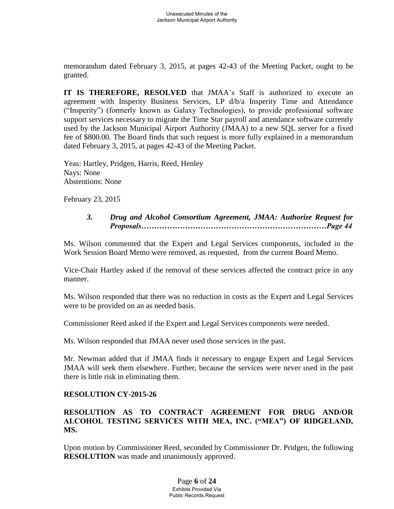memorandum dated February 3, 2015, at pages 42-43 of the Meeting Packet, ought to be granted.

**IT IS THEREFORE, RESOLVED** that JMAA's Staff is authorized to execute an agreement with Insperity Business Services, LP d/b/a Insperity Time and Attendance ("Insperity") (formerly known as Galaxy Technologies), to provide professional software support services necessary to migrate the Time Star payroll and attendance software currently used by the Jackson Municipal Airport Authority (JMAA) to a new SQL server for a fixed fee of \$800.00. The Board finds that such request is more fully explained in a memorandum dated February 3, 2015, at pages 42-43 of the Meeting Packet.

Yeas: Hartley, Pridgen, Harris, Reed, Henley Nays: None Abstentions: None

February 23, 2015

### *3. Drug and Alcohol Consortium Agreement, JMAA: Authorize Request for Proposals………………………………………………………………Page 44*

Ms. Wilson commented that the Expert and Legal Services components, included in the Work Session Board Memo were removed, as requested, from the current Board Memo.

Vice-Chair Hartley asked if the removal of these services affected the contract price in any manner.

Ms. Wilson responded that there was no reduction in costs as the Expert and Legal Services were to be provided on an as needed basis.

Commissioner Reed asked if the Expert and Legal Services components were needed.

Ms. Wilson responded that JMAA never used those services in the past.

Mr. Newman added that if JMAA finds it necessary to engage Expert and Legal Services JMAA will seek them elsewhere. Further, because the services were never used in the past there is little risk in eliminating them.

# **RESOLUTION CY-2015-26**

# **RESOLUTION AS TO CONTRACT AGREEMENT FOR DRUG AND/OR ALCOHOL TESTING SERVICES WITH MEA, INC. ("MEA") OF RIDGELAND, MS.**

Upon motion by Commissioner Reed, seconded by Commissioner Dr. Pridgen, the following **RESOLUTION** was made and unanimously approved.

> Page **6** of **24** Exhibits Provided Via Public Records Request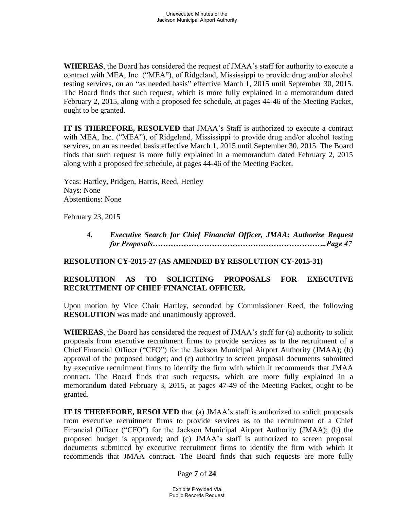**WHEREAS**, the Board has considered the request of JMAA's staff for authority to execute a contract with MEA, Inc. ("MEA"), of Ridgeland, Mississippi to provide drug and/or alcohol testing services, on an "as needed basis" effective March 1, 2015 until September 30, 2015. The Board finds that such request, which is more fully explained in a memorandum dated February 2, 2015, along with a proposed fee schedule, at pages 44-46 of the Meeting Packet, ought to be granted.

**IT IS THEREFORE, RESOLVED** that JMAA's Staff is authorized to execute a contract with MEA, Inc. ("MEA"), of Ridgeland, Mississippi to provide drug and/or alcohol testing services, on an as needed basis effective March 1, 2015 until September 30, 2015. The Board finds that such request is more fully explained in a memorandum dated February 2, 2015 along with a proposed fee schedule, at pages 44-46 of the Meeting Packet.

Yeas: Hartley, Pridgen, Harris, Reed, Henley Nays: None Abstentions: None

February 23, 2015

*4. Executive Search for Chief Financial Officer, JMAA: Authorize Request for Proposals…………………………………………………………..Page 47*

# **RESOLUTION CY-2015-27 (AS AMENDED BY RESOLUTION CY-2015-31)**

# **RESOLUTION AS TO SOLICITING PROPOSALS FOR EXECUTIVE RECRUITMENT OF CHIEF FINANCIAL OFFICER.**

Upon motion by Vice Chair Hartley, seconded by Commissioner Reed, the following **RESOLUTION** was made and unanimously approved.

**WHEREAS**, the Board has considered the request of JMAA's staff for (a) authority to solicit proposals from executive recruitment firms to provide services as to the recruitment of a Chief Financial Officer ("CFO") for the Jackson Municipal Airport Authority (JMAA); (b) approval of the proposed budget; and (c) authority to screen proposal documents submitted by executive recruitment firms to identify the firm with which it recommends that JMAA contract. The Board finds that such requests, which are more fully explained in a memorandum dated February 3, 2015, at pages 47-49 of the Meeting Packet, ought to be granted.

**IT IS THEREFORE, RESOLVED** that (a) JMAA's staff is authorized to solicit proposals from executive recruitment firms to provide services as to the recruitment of a Chief Financial Officer ("CFO") for the Jackson Municipal Airport Authority (JMAA); (b) the proposed budget is approved; and (c) JMAA's staff is authorized to screen proposal documents submitted by executive recruitment firms to identify the firm with which it recommends that JMAA contract. The Board finds that such requests are more fully

Page **7** of **24**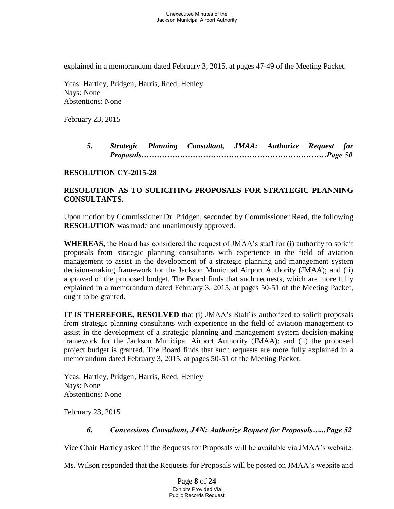explained in a memorandum dated February 3, 2015, at pages 47-49 of the Meeting Packet.

Yeas: Hartley, Pridgen, Harris, Reed, Henley Nays: None Abstentions: None

February 23, 2015

*5. Strategic Planning Consultant, JMAA: Authorize Request for Proposals………………………………………………………………Page 50*

# **RESOLUTION CY-2015-28**

# **RESOLUTION AS TO SOLICITING PROPOSALS FOR STRATEGIC PLANNING CONSULTANTS.**

Upon motion by Commissioner Dr. Pridgen, seconded by Commissioner Reed, the following **RESOLUTION** was made and unanimously approved.

**WHEREAS,** the Board has considered the request of JMAA's staff for (i) authority to solicit proposals from strategic planning consultants with experience in the field of aviation management to assist in the development of a strategic planning and management system decision-making framework for the Jackson Municipal Airport Authority (JMAA); and (ii) approved of the proposed budget. The Board finds that such requests, which are more fully explained in a memorandum dated February 3, 2015, at pages 50-51 of the Meeting Packet, ought to be granted.

**IT IS THEREFORE, RESOLVED** that (i) JMAA's Staff is authorized to solicit proposals from strategic planning consultants with experience in the field of aviation management to assist in the development of a strategic planning and management system decision-making framework for the Jackson Municipal Airport Authority (JMAA); and (ii) the proposed project budget is granted. The Board finds that such requests are more fully explained in a memorandum dated February 3, 2015, at pages 50-51 of the Meeting Packet.

Yeas: Hartley, Pridgen, Harris, Reed, Henley Nays: None Abstentions: None

February 23, 2015

# *6. Concessions Consultant, JAN: Authorize Request for Proposals…...Page 52*

Vice Chair Hartley asked if the Requests for Proposals will be available via JMAA's website.

Ms. Wilson responded that the Requests for Proposals will be posted on JMAA's website and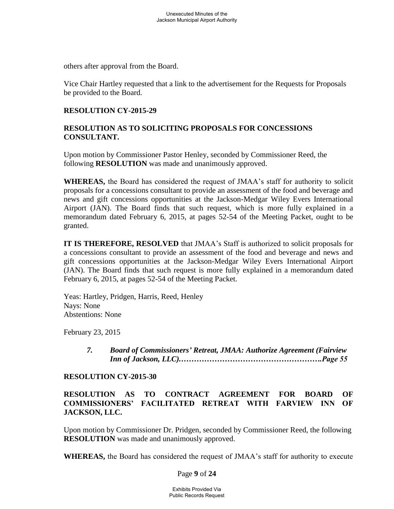others after approval from the Board.

Vice Chair Hartley requested that a link to the advertisement for the Requests for Proposals be provided to the Board.

#### **RESOLUTION CY-2015-29**

# **RESOLUTION AS TO SOLICITING PROPOSALS FOR CONCESSIONS CONSULTANT.**

Upon motion by Commissioner Pastor Henley, seconded by Commissioner Reed, the following **RESOLUTION** was made and unanimously approved.

**WHEREAS,** the Board has considered the request of JMAA's staff for authority to solicit proposals for a concessions consultant to provide an assessment of the food and beverage and news and gift concessions opportunities at the Jackson-Medgar Wiley Evers International Airport (JAN). The Board finds that such request, which is more fully explained in a memorandum dated February 6, 2015, at pages 52-54 of the Meeting Packet, ought to be granted.

**IT IS THEREFORE, RESOLVED** that JMAA's Staff is authorized to solicit proposals for a concessions consultant to provide an assessment of the food and beverage and news and gift concessions opportunities at the Jackson-Medgar Wiley Evers International Airport (JAN). The Board finds that such request is more fully explained in a memorandum dated February 6, 2015, at pages 52-54 of the Meeting Packet.

Yeas: Hartley, Pridgen, Harris, Reed, Henley Nays: None Abstentions: None

February 23, 2015

*7. Board of Commissioners' Retreat, JMAA: Authorize Agreement (Fairview Inn of Jackson, LLC).……………………………………………….Page 55*

#### **RESOLUTION CY-2015-30**

# **RESOLUTION AS TO CONTRACT AGREEMENT FOR BOARD OF COMMISSIONERS' FACILITATED RETREAT WITH FARVIEW INN OF JACKSON, LLC.**

Upon motion by Commissioner Dr. Pridgen, seconded by Commissioner Reed, the following **RESOLUTION** was made and unanimously approved.

**WHEREAS,** the Board has considered the request of JMAA's staff for authority to execute

Page **9** of **24**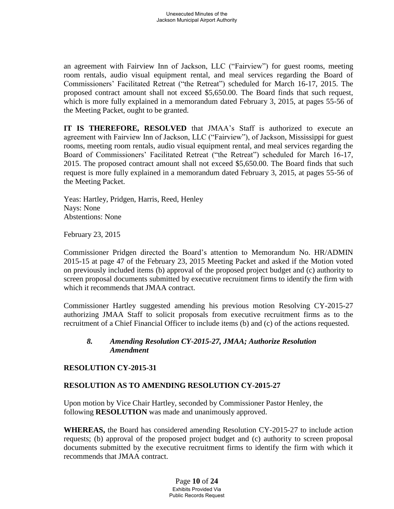an agreement with Fairview Inn of Jackson, LLC ("Fairview") for guest rooms, meeting room rentals, audio visual equipment rental, and meal services regarding the Board of Commissioners' Facilitated Retreat ("the Retreat") scheduled for March 16-17, 2015. The proposed contract amount shall not exceed \$5,650.00. The Board finds that such request, which is more fully explained in a memorandum dated February 3, 2015, at pages 55-56 of the Meeting Packet, ought to be granted.

**IT IS THEREFORE, RESOLVED** that JMAA's Staff is authorized to execute an agreement with Fairview Inn of Jackson, LLC ("Fairview"), of Jackson, Mississippi for guest rooms, meeting room rentals, audio visual equipment rental, and meal services regarding the Board of Commissioners' Facilitated Retreat ("the Retreat") scheduled for March 16-17, 2015. The proposed contract amount shall not exceed \$5,650.00. The Board finds that such request is more fully explained in a memorandum dated February 3, 2015, at pages 55-56 of the Meeting Packet.

 Yeas: Hartley, Pridgen, Harris, Reed, Henley Nays: None Abstentions: None

February 23, 2015

Commissioner Pridgen directed the Board's attention to Memorandum No. HR/ADMIN 2015-15 at page 47 of the February 23, 2015 Meeting Packet and asked if the Motion voted on previously included items (b) approval of the proposed project budget and (c) authority to screen proposal documents submitted by executive recruitment firms to identify the firm with which it recommends that JMAA contract.

Commissioner Hartley suggested amending his previous motion Resolving CY-2015-27 authorizing JMAA Staff to solicit proposals from executive recruitment firms as to the recruitment of a Chief Financial Officer to include items (b) and (c) of the actions requested.

# *8. Amending Resolution CY-2015-27, JMAA; Authorize Resolution Amendment*

# **RESOLUTION CY-2015-31**

# **RESOLUTION AS TO AMENDING RESOLUTION CY-2015-27**

Upon motion by Vice Chair Hartley, seconded by Commissioner Pastor Henley, the following **RESOLUTION** was made and unanimously approved.

**WHEREAS,** the Board has considered amending Resolution CY-2015-27 to include action requests; (b) approval of the proposed project budget and (c) authority to screen proposal documents submitted by the executive recruitment firms to identify the firm with which it recommends that JMAA contract.

> Page **10** of **24** Exhibits Provided Via Public Records Request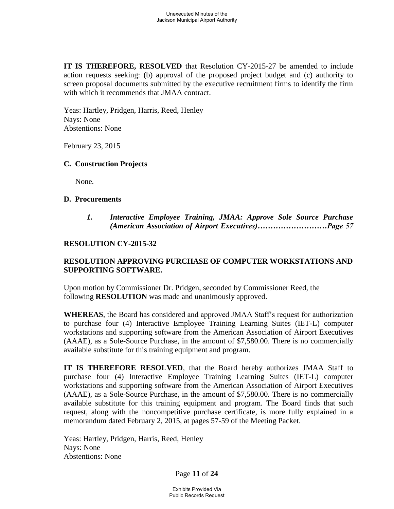**IT IS THEREFORE, RESOLVED** that Resolution CY-2015-27 be amended to include action requests seeking: (b) approval of the proposed project budget and (c) authority to screen proposal documents submitted by the executive recruitment firms to identify the firm with which it recommends that JMAA contract.

Yeas: Hartley, Pridgen, Harris, Reed, Henley Nays: None Abstentions: None

February 23, 2015

#### **C. Construction Projects**

None.

#### **D. Procurements**

*1. Interactive Employee Training, JMAA: Approve Sole Source Purchase (American Association of Airport Executives)………………………Page 57*

# **RESOLUTION CY-2015-32**

# **RESOLUTION APPROVING PURCHASE OF COMPUTER WORKSTATIONS AND SUPPORTING SOFTWARE.**

Upon motion by Commissioner Dr. Pridgen, seconded by Commissioner Reed, the following **RESOLUTION** was made and unanimously approved.

**WHEREAS**, the Board has considered and approved JMAA Staff's request for authorization to purchase four (4) Interactive Employee Training Learning Suites (IET-L) computer workstations and supporting software from the American Association of Airport Executives (AAAE), as a Sole-Source Purchase, in the amount of \$7,580.00. There is no commercially available substitute for this training equipment and program.

**IT IS THEREFORE RESOLVED**, that the Board hereby authorizes JMAA Staff to purchase four (4) Interactive Employee Training Learning Suites (IET-L) computer workstations and supporting software from the American Association of Airport Executives (AAAE), as a Sole-Source Purchase, in the amount of \$7,580.00. There is no commercially available substitute for this training equipment and program. The Board finds that such request, along with the noncompetitive purchase certificate, is more fully explained in a memorandum dated February 2, 2015, at pages 57-59 of the Meeting Packet.

 Yeas: Hartley, Pridgen, Harris, Reed, Henley Nays: None Abstentions: None

Page **11** of **24**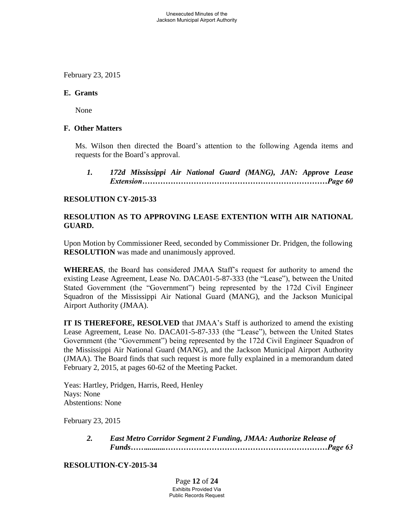February 23, 2015

#### **E. Grants**

None

### **F. Other Matters**

Ms. Wilson then directed the Board's attention to the following Agenda items and requests for the Board's approval.

 *1. 172d Mississippi Air National Guard (MANG), JAN: Approve Lease Extension………………………………………………………………Page 60*

# **RESOLUTION CY-2015-33**

# **RESOLUTION AS TO APPROVING LEASE EXTENTION WITH AIR NATIONAL GUARD.**

Upon Motion by Commissioner Reed, seconded by Commissioner Dr. Pridgen, the following **RESOLUTION** was made and unanimously approved.

**WHEREAS**, the Board has considered JMAA Staff's request for authority to amend the existing Lease Agreement, Lease No. DACA01-5-87-333 (the "Lease"), between the United Stated Government (the "Government") being represented by the 172d Civil Engineer Squadron of the Mississippi Air National Guard (MANG), and the Jackson Municipal Airport Authority (JMAA).

**IT IS THEREFORE, RESOLVED** that JMAA's Staff is authorized to amend the existing Lease Agreement, Lease No. DACA01-5-87-333 (the "Lease"), between the United States Government (the "Government") being represented by the 172d Civil Engineer Squadron of the Mississippi Air National Guard (MANG), and the Jackson Municipal Airport Authority (JMAA). The Board finds that such request is more fully explained in a memorandum dated February 2, 2015, at pages 60-62 of the Meeting Packet.

Yeas: Hartley, Pridgen, Harris, Reed, Henley Nays: None Abstentions: None

February 23, 2015

 *2. East Metro Corridor Segment 2 Funding, JMAA: Authorize Release of Funds……..........………………………………………………………Page 63*

**RESOLUTION-CY-2015-34**

Page **12** of **24** Exhibits Provided Via Public Records Request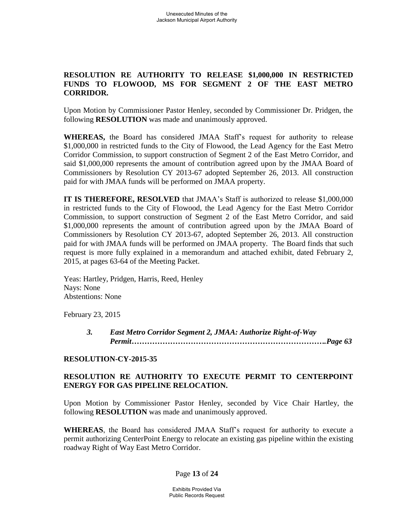# **RESOLUTION RE AUTHORITY TO RELEASE \$1,000,000 IN RESTRICTED FUNDS TO FLOWOOD, MS FOR SEGMENT 2 OF THE EAST METRO CORRIDOR.**

Upon Motion by Commissioner Pastor Henley, seconded by Commissioner Dr. Pridgen, the following **RESOLUTION** was made and unanimously approved.

**WHEREAS,** the Board has considered JMAA Staff's request for authority to release \$1,000,000 in restricted funds to the City of Flowood, the Lead Agency for the East Metro Corridor Commission, to support construction of Segment 2 of the East Metro Corridor, and said \$1,000,000 represents the amount of contribution agreed upon by the JMAA Board of Commissioners by Resolution CY 2013-67 adopted September 26, 2013. All construction paid for with JMAA funds will be performed on JMAA property.

**IT IS THEREFORE, RESOLVED** that JMAA's Staff is authorized to release \$1,000,000 in restricted funds to the City of Flowood, the Lead Agency for the East Metro Corridor Commission, to support construction of Segment 2 of the East Metro Corridor, and said \$1,000,000 represents the amount of contribution agreed upon by the JMAA Board of Commissioners by Resolution CY 2013-67, adopted September 26, 2013. All construction paid for with JMAA funds will be performed on JMAA property. The Board finds that such request is more fully explained in a memorandum and attached exhibit, dated February 2, 2015, at pages 63-64 of the Meeting Packet.

Yeas: Hartley, Pridgen, Harris, Reed, Henley Nays: None Abstentions: None

February 23, 2015

 *3. East Metro Corridor Segment 2, JMAA: Authorize Right-of-Way Permit………………………………………………………………….Page 63* 

#### **RESOLUTION-CY-2015-35**

# **RESOLUTION RE AUTHORITY TO EXECUTE PERMIT TO CENTERPOINT ENERGY FOR GAS PIPELINE RELOCATION.**

Upon Motion by Commissioner Pastor Henley, seconded by Vice Chair Hartley, the following **RESOLUTION** was made and unanimously approved.

**WHEREAS**, the Board has considered JMAA Staff's request for authority to execute a permit authorizing CenterPoint Energy to relocate an existing gas pipeline within the existing roadway Right of Way East Metro Corridor.

# Page **13** of **24**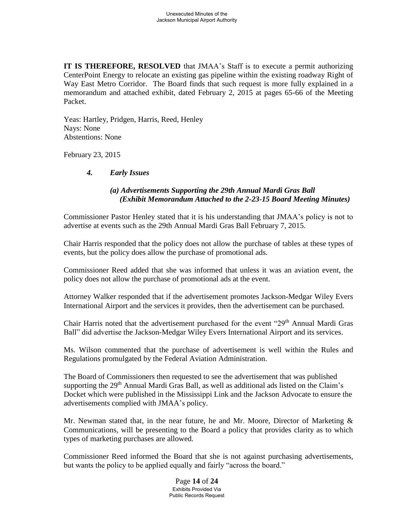**IT IS THEREFORE, RESOLVED** that JMAA's Staff is to execute a permit authorizing CenterPoint Energy to relocate an existing gas pipeline within the existing roadway Right of Way East Metro Corridor. The Board finds that such request is more fully explained in a memorandum and attached exhibit, dated February 2, 2015 at pages 65-66 of the Meeting Packet.

 Yeas: Hartley, Pridgen, Harris, Reed, Henley Nays: None Abstentions: None

February 23, 2015

# *4. Early Issues*

# *(a) Advertisements Supporting the 29th Annual Mardi Gras Ball (Exhibit Memorandum Attached to the 2-23-15 Board Meeting Minutes)*

Commissioner Pastor Henley stated that it is his understanding that JMAA's policy is not to advertise at events such as the 29th Annual Mardi Gras Ball February 7, 2015.

Chair Harris responded that the policy does not allow the purchase of tables at these types of events, but the policy does allow the purchase of promotional ads.

Commissioner Reed added that she was informed that unless it was an aviation event, the policy does not allow the purchase of promotional ads at the event.

Attorney Walker responded that if the advertisement promotes Jackson-Medgar Wiley Evers International Airport and the services it provides, then the advertisement can be purchased.

Chair Harris noted that the advertisement purchased for the event "29th Annual Mardi Gras Ball" did advertise the Jackson-Medgar Wiley Evers International Airport and its services.

Ms. Wilson commented that the purchase of advertisement is well within the Rules and Regulations promulgated by the Federal Aviation Administration.

The Board of Commissioners then requested to see the advertisement that was published supporting the 29<sup>th</sup> Annual Mardi Gras Ball, as well as additional ads listed on the Claim's Docket which were published in the Mississippi Link and the Jackson Advocate to ensure the advertisements complied with JMAA's policy.

Mr. Newman stated that, in the near future, he and Mr. Moore, Director of Marketing & Communications, will be presenting to the Board a policy that provides clarity as to which types of marketing purchases are allowed.

Commissioner Reed informed the Board that she is not against purchasing advertisements, but wants the policy to be applied equally and fairly "across the board."

> Page **14** of **24** Exhibits Provided Via Public Records Request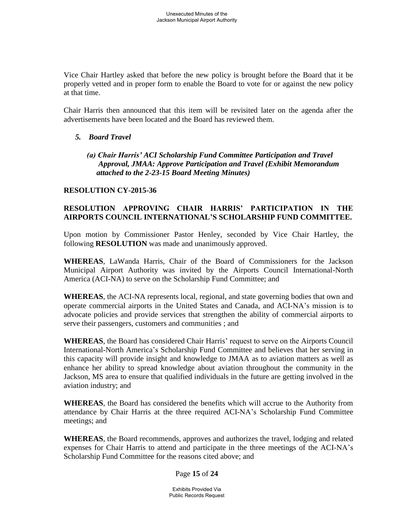Vice Chair Hartley asked that before the new policy is brought before the Board that it be properly vetted and in proper form to enable the Board to vote for or against the new policy at that time.

Chair Harris then announced that this item will be revisited later on the agenda after the advertisements have been located and the Board has reviewed them.

### *5. Board Travel*

# *(a) Chair Harris' ACI Scholarship Fund Committee Participation and Travel Approval, JMAA: Approve Participation and Travel (Exhibit Memorandum attached to the 2-23-15 Board Meeting Minutes)*

### **RESOLUTION CY-2015-36**

# **RESOLUTION APPROVING CHAIR HARRIS' PARTICIPATION IN THE AIRPORTS COUNCIL INTERNATIONAL'S SCHOLARSHIP FUND COMMITTEE.**

Upon motion by Commissioner Pastor Henley, seconded by Vice Chair Hartley, the following **RESOLUTION** was made and unanimously approved.

**WHEREAS**, LaWanda Harris, Chair of the Board of Commissioners for the Jackson Municipal Airport Authority was invited by the Airports Council International-North America (ACI-NA) to serve on the Scholarship Fund Committee; and

**WHEREAS**, the ACI-NA represents local, regional, and state governing bodies that own and operate commercial airports in the United States and Canada, and ACI-NA's mission is to advocate policies and provide services that strengthen the ability of commercial airports to serve their passengers, customers and communities ; and

**WHEREAS**, the Board has considered Chair Harris' request to serve on the Airports Council International-North America's Scholarship Fund Committee and believes that her serving in this capacity will provide insight and knowledge to JMAA as to aviation matters as well as enhance her ability to spread knowledge about aviation throughout the community in the Jackson, MS area to ensure that qualified individuals in the future are getting involved in the aviation industry; and

**WHEREAS**, the Board has considered the benefits which will accrue to the Authority from attendance by Chair Harris at the three required ACI-NA's Scholarship Fund Committee meetings; and

**WHEREAS**, the Board recommends, approves and authorizes the travel, lodging and related expenses for Chair Harris to attend and participate in the three meetings of the ACI-NA's Scholarship Fund Committee for the reasons cited above; and

#### Page **15** of **24**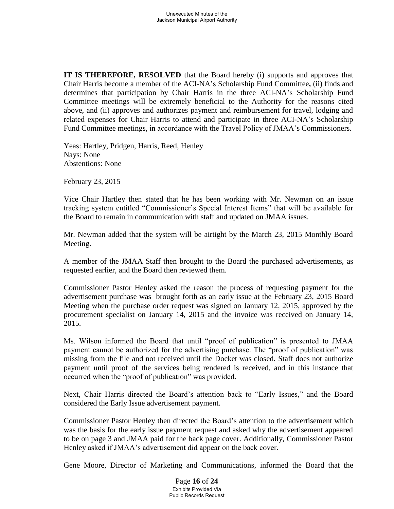**IT IS THEREFORE, RESOLVED** that the Board hereby (i) supports and approves that Chair Harris become a member of the ACI-NA's Scholarship Fund Committee**,** (ii) finds and determines that participation by Chair Harris in the three ACI-NA's Scholarship Fund Committee meetings will be extremely beneficial to the Authority for the reasons cited above, and (ii) approves and authorizes payment and reimbursement for travel, lodging and related expenses for Chair Harris to attend and participate in three ACI-NA's Scholarship Fund Committee meetings, in accordance with the Travel Policy of JMAA's Commissioners.

Yeas: Hartley, Pridgen, Harris, Reed, Henley Nays: None Abstentions: None

February 23, 2015

Vice Chair Hartley then stated that he has been working with Mr. Newman on an issue tracking system entitled "Commissioner's Special Interest Items" that will be available for the Board to remain in communication with staff and updated on JMAA issues.

Mr. Newman added that the system will be airtight by the March 23, 2015 Monthly Board Meeting.

A member of the JMAA Staff then brought to the Board the purchased advertisements, as requested earlier, and the Board then reviewed them.

Commissioner Pastor Henley asked the reason the process of requesting payment for the advertisement purchase was brought forth as an early issue at the February 23, 2015 Board Meeting when the purchase order request was signed on January 12, 2015, approved by the procurement specialist on January 14, 2015 and the invoice was received on January 14, 2015.

Ms. Wilson informed the Board that until "proof of publication" is presented to JMAA payment cannot be authorized for the advertising purchase. The "proof of publication" was missing from the file and not received until the Docket was closed. Staff does not authorize payment until proof of the services being rendered is received, and in this instance that occurred when the "proof of publication" was provided.

Next, Chair Harris directed the Board's attention back to "Early Issues," and the Board considered the Early Issue advertisement payment.

Commissioner Pastor Henley then directed the Board's attention to the advertisement which was the basis for the early issue payment request and asked why the advertisement appeared to be on page 3 and JMAA paid for the back page cover. Additionally, Commissioner Pastor Henley asked if JMAA's advertisement did appear on the back cover.

Gene Moore, Director of Marketing and Communications, informed the Board that the

Page **16** of **24** Exhibits Provided Via Public Records Request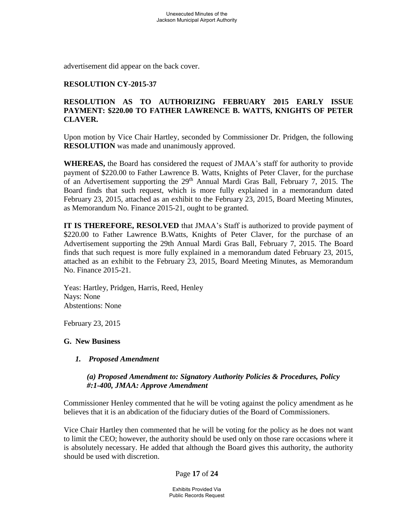advertisement did appear on the back cover.

### **RESOLUTION CY-2015-37**

# **RESOLUTION AS TO AUTHORIZING FEBRUARY 2015 EARLY ISSUE PAYMENT: \$220.00 TO FATHER LAWRENCE B. WATTS, KNIGHTS OF PETER CLAVER.**

Upon motion by Vice Chair Hartley, seconded by Commissioner Dr. Pridgen, the following **RESOLUTION** was made and unanimously approved.

**WHEREAS,** the Board has considered the request of JMAA's staff for authority to provide payment of \$220.00 to Father Lawrence B. Watts, Knights of Peter Claver, for the purchase of an Advertisement supporting the 29<sup>th</sup> Annual Mardi Gras Ball, February 7, 2015. The Board finds that such request, which is more fully explained in a memorandum dated February 23, 2015, attached as an exhibit to the February 23, 2015, Board Meeting Minutes, as Memorandum No. Finance 2015-21, ought to be granted.

**IT IS THEREFORE, RESOLVED** that JMAA's Staff is authorized to provide payment of \$220.00 to Father Lawrence B. Watts, Knights of Peter Claver, for the purchase of an Advertisement supporting the 29th Annual Mardi Gras Ball, February 7, 2015. The Board finds that such request is more fully explained in a memorandum dated February 23, 2015, attached as an exhibit to the February 23, 2015, Board Meeting Minutes, as Memorandum No. Finance 2015-21.

Yeas: Hartley, Pridgen, Harris, Reed, Henley Nays: None Abstentions: None

February 23, 2015

#### **G. New Business**

#### *1. Proposed Amendment*

#### *(a) Proposed Amendment to: Signatory Authority Policies & Procedures, Policy #:1-400, JMAA: Approve Amendment*

Commissioner Henley commented that he will be voting against the policy amendment as he believes that it is an abdication of the fiduciary duties of the Board of Commissioners.

Vice Chair Hartley then commented that he will be voting for the policy as he does not want to limit the CEO; however, the authority should be used only on those rare occasions where it is absolutely necessary. He added that although the Board gives this authority, the authority should be used with discretion.

#### Page **17** of **24**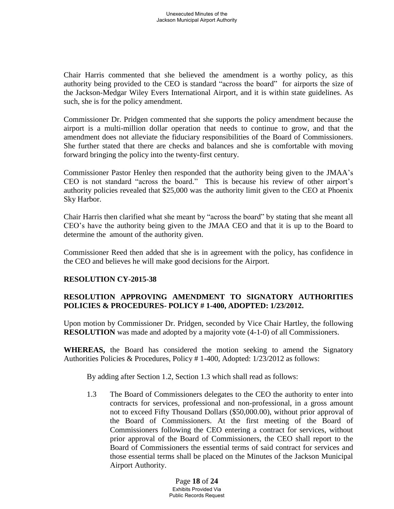Chair Harris commented that she believed the amendment is a worthy policy, as this authority being provided to the CEO is standard "across the board" for airports the size of the Jackson-Medgar Wiley Evers International Airport, and it is within state guidelines. As such, she is for the policy amendment.

Commissioner Dr. Pridgen commented that she supports the policy amendment because the airport is a multi-million dollar operation that needs to continue to grow, and that the amendment does not alleviate the fiduciary responsibilities of the Board of Commissioners. She further stated that there are checks and balances and she is comfortable with moving forward bringing the policy into the twenty-first century.

Commissioner Pastor Henley then responded that the authority being given to the JMAA's CEO is not standard "across the board." This is because his review of other airport's authority policies revealed that \$25,000 was the authority limit given to the CEO at Phoenix Sky Harbor.

Chair Harris then clarified what she meant by "across the board" by stating that she meant all CEO's have the authority being given to the JMAA CEO and that it is up to the Board to determine the amount of the authority given.

Commissioner Reed then added that she is in agreement with the policy, has confidence in the CEO and believes he will make good decisions for the Airport.

# **RESOLUTION CY-2015-38**

# **RESOLUTION APPROVING AMENDMENT TO SIGNATORY AUTHORITIES POLICIES & PROCEDURES- POLICY # 1-400, ADOPTED: 1/23/2012.**

Upon motion by Commissioner Dr. Pridgen, seconded by Vice Chair Hartley, the following **RESOLUTION** was made and adopted by a majority vote (4-1-0) of all Commissioners.

**WHEREAS,** the Board has considered the motion seeking to amend the Signatory Authorities Policies & Procedures, Policy # 1-400, Adopted: 1/23/2012 as follows:

By adding after Section 1.2, Section 1.3 which shall read as follows:

 1.3 The Board of Commissioners delegates to the CEO the authority to enter into contracts for services, professional and non-professional, in a gross amount not to exceed Fifty Thousand Dollars (\$50,000.00), without prior approval of the Board of Commissioners. At the first meeting of the Board of Commissioners following the CEO entering a contract for services, without prior approval of the Board of Commissioners, the CEO shall report to the Board of Commissioners the essential terms of said contract for services and those essential terms shall be placed on the Minutes of the Jackson Municipal Airport Authority.

> Page **18** of **24** Exhibits Provided Via Public Records Request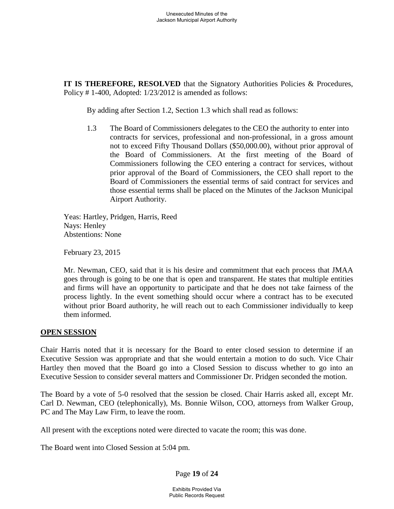**IT IS THEREFORE, RESOLVED** that the Signatory Authorities Policies & Procedures, Policy # 1-400, Adopted: 1/23/2012 is amended as follows:

By adding after Section 1.2, Section 1.3 which shall read as follows:

 1.3 The Board of Commissioners delegates to the CEO the authority to enter into contracts for services, professional and non-professional, in a gross amount not to exceed Fifty Thousand Dollars (\$50,000.00), without prior approval of the Board of Commissioners. At the first meeting of the Board of Commissioners following the CEO entering a contract for services, without prior approval of the Board of Commissioners, the CEO shall report to the Board of Commissioners the essential terms of said contract for services and those essential terms shall be placed on the Minutes of the Jackson Municipal Airport Authority.

Yeas: Hartley, Pridgen, Harris, Reed Nays: Henley Abstentions: None

February 23, 2015

Mr. Newman, CEO, said that it is his desire and commitment that each process that JMAA goes through is going to be one that is open and transparent. He states that multiple entities and firms will have an opportunity to participate and that he does not take fairness of the process lightly. In the event something should occur where a contract has to be executed without prior Board authority, he will reach out to each Commissioner individually to keep them informed.

#### **OPEN SESSION**

Chair Harris noted that it is necessary for the Board to enter closed session to determine if an Executive Session was appropriate and that she would entertain a motion to do such. Vice Chair Hartley then moved that the Board go into a Closed Session to discuss whether to go into an Executive Session to consider several matters and Commissioner Dr. Pridgen seconded the motion.

The Board by a vote of 5-0 resolved that the session be closed. Chair Harris asked all, except Mr. Carl D. Newman, CEO (telephonically), Ms. Bonnie Wilson, COO, attorneys from Walker Group, PC and The May Law Firm, to leave the room.

All present with the exceptions noted were directed to vacate the room; this was done.

The Board went into Closed Session at 5:04 pm.

Page **19** of **24**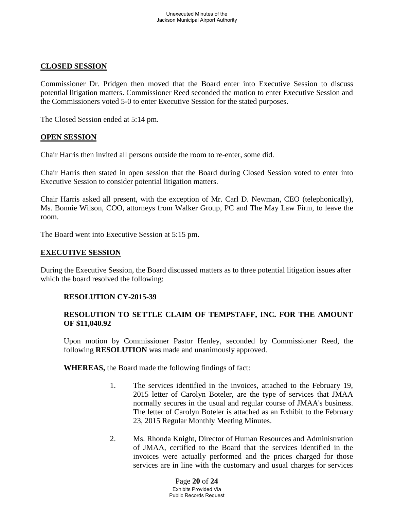# **CLOSED SESSION**

Commissioner Dr. Pridgen then moved that the Board enter into Executive Session to discuss potential litigation matters. Commissioner Reed seconded the motion to enter Executive Session and the Commissioners voted 5-0 to enter Executive Session for the stated purposes.

The Closed Session ended at 5:14 pm.

# **OPEN SESSION**

Chair Harris then invited all persons outside the room to re-enter, some did.

Chair Harris then stated in open session that the Board during Closed Session voted to enter into Executive Session to consider potential litigation matters.

Chair Harris asked all present, with the exception of Mr. Carl D. Newman, CEO (telephonically), Ms. Bonnie Wilson, COO, attorneys from Walker Group, PC and The May Law Firm, to leave the room.

The Board went into Executive Session at 5:15 pm.

### **EXECUTIVE SESSION**

During the Executive Session, the Board discussed matters as to three potential litigation issues after which the board resolved the following:

# **RESOLUTION CY-2015-39**

# **RESOLUTION TO SETTLE CLAIM OF TEMPSTAFF, INC. FOR THE AMOUNT OF \$11,040.92**

Upon motion by Commissioner Pastor Henley, seconded by Commissioner Reed, the following **RESOLUTION** was made and unanimously approved.

**WHEREAS,** the Board made the following findings of fact:

- 1. The services identified in the invoices, attached to the February 19, 2015 letter of Carolyn Boteler, are the type of services that JMAA normally secures in the usual and regular course of JMAA's business. The letter of Carolyn Boteler is attached as an Exhibit to the February 23, 2015 Regular Monthly Meeting Minutes.
- 2. Ms. Rhonda Knight, Director of Human Resources and Administration of JMAA, certified to the Board that the services identified in the invoices were actually performed and the prices charged for those services are in line with the customary and usual charges for services

Page **20** of **24** Exhibits Provided Via Public Records Request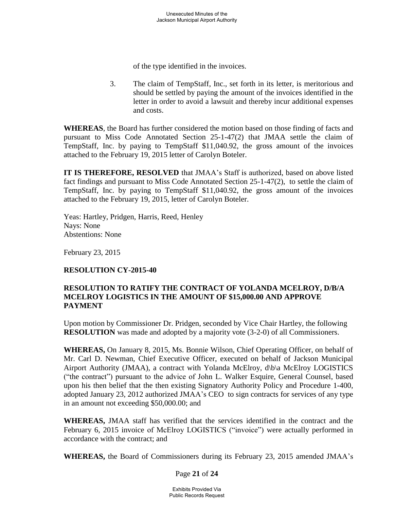of the type identified in the invoices.

 3. The claim of TempStaff, Inc., set forth in its letter, is meritorious and should be settled by paying the amount of the invoices identified in the letter in order to avoid a lawsuit and thereby incur additional expenses and costs.

**WHEREAS**, the Board has further considered the motion based on those finding of facts and pursuant to Miss Code Annotated Section 25-1-47(2) that JMAA settle the claim of TempStaff, Inc. by paying to TempStaff \$11,040.92, the gross amount of the invoices attached to the February 19, 2015 letter of Carolyn Boteler.

**IT IS THEREFORE, RESOLVED** that JMAA's Staff is authorized, based on above listed fact findings and pursuant to Miss Code Annotated Section 25-1-47(2), to settle the claim of TempStaff, Inc. by paying to TempStaff \$11,040.92, the gross amount of the invoices attached to the February 19, 2015, letter of Carolyn Boteler.

 Yeas: Hartley, Pridgen, Harris, Reed, Henley Nays: None Abstentions: None

February 23, 2015

# **RESOLUTION CY-2015-40**

# **RESOLUTION TO RATIFY THE CONTRACT OF YOLANDA MCELROY, D/B/A MCELROY LOGISTICS IN THE AMOUNT OF \$15,000.00 AND APPROVE PAYMENT**

Upon motion by Commissioner Dr. Pridgen, seconded by Vice Chair Hartley, the following **RESOLUTION** was made and adopted by a majority vote (3-2-0) of all Commissioners.

**WHEREAS,** On January 8, 2015, Ms. Bonnie Wilson, Chief Operating Officer, on behalf of Mr. Carl D. Newman, Chief Executive Officer, executed on behalf of Jackson Municipal Airport Authority (JMAA), a contract with Yolanda McElroy, d\b\a McElroy LOGISTICS ("the contract") pursuant to the advice of John L. Walker Esquire, General Counsel, based upon his then belief that the then existing Signatory Authority Policy and Procedure 1-400, adopted January 23, 2012 authorized JMAA's CEO to sign contracts for services of any type in an amount not exceeding \$50,000.00; and

**WHEREAS,** JMAA staff has verified that the services identified in the contract and the February 6, 2015 invoice of McElroy LOGISTICS ("invoice") were actually performed in accordance with the contract; and

**WHEREAS,** the Board of Commissioners during its February 23, 2015 amended JMAA's

Page **21** of **24**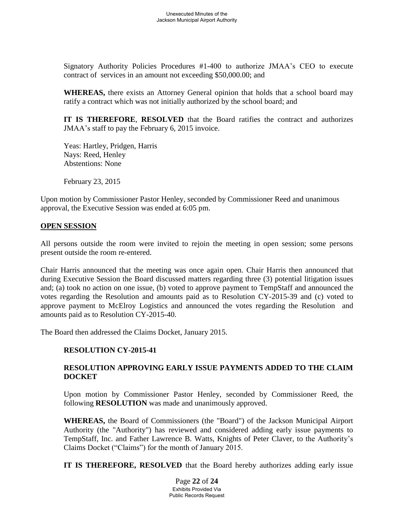Signatory Authority Policies Procedures #1-400 to authorize JMAA's CEO to execute contract of services in an amount not exceeding \$50,000.00; and

**WHEREAS,** there exists an Attorney General opinion that holds that a school board may ratify a contract which was not initially authorized by the school board; and

**IT IS THEREFORE**, **RESOLVED** that the Board ratifies the contract and authorizes JMAA's staff to pay the February 6, 2015 invoice.

Yeas: Hartley, Pridgen, Harris Nays: Reed, Henley Abstentions: None

February 23, 2015

Upon motion by Commissioner Pastor Henley, seconded by Commissioner Reed and unanimous approval, the Executive Session was ended at 6:05 pm.

### **OPEN SESSION**

All persons outside the room were invited to rejoin the meeting in open session; some persons present outside the room re-entered.

Chair Harris announced that the meeting was once again open. Chair Harris then announced that during Executive Session the Board discussed matters regarding three (3) potential litigation issues and; (a) took no action on one issue, (b) voted to approve payment to TempStaff and announced the votes regarding the Resolution and amounts paid as to Resolution CY-2015-39 and (c) voted to approve payment to McElroy Logistics and announced the votes regarding the Resolution and amounts paid as to Resolution CY-2015-40.

The Board then addressed the Claims Docket, January 2015.

# **RESOLUTION CY-2015-41**

# **RESOLUTION APPROVING EARLY ISSUE PAYMENTS ADDED TO THE CLAIM DOCKET**

Upon motion by Commissioner Pastor Henley, seconded by Commissioner Reed, the following **RESOLUTION** was made and unanimously approved.

**WHEREAS,** the Board of Commissioners (the "Board") of the Jackson Municipal Airport Authority (the "Authority") has reviewed and considered adding early issue payments to TempStaff, Inc. and Father Lawrence B. Watts, Knights of Peter Claver, to the Authority's Claims Docket ("Claims") for the month of January 2015.

**IT IS THEREFORE, RESOLVED** that the Board hereby authorizes adding early issue

Page **22** of **24** Exhibits Provided Via Public Records Request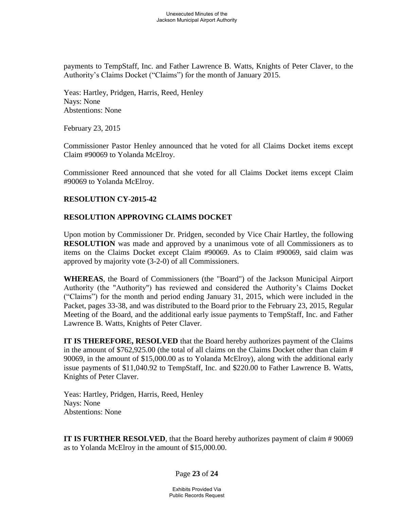payments to TempStaff, Inc. and Father Lawrence B. Watts, Knights of Peter Claver, to the Authority's Claims Docket ("Claims") for the month of January 2015.

Yeas: Hartley, Pridgen, Harris, Reed, Henley Nays: None Abstentions: None

February 23, 2015

Commissioner Pastor Henley announced that he voted for all Claims Docket items except Claim #90069 to Yolanda McElroy.

Commissioner Reed announced that she voted for all Claims Docket items except Claim #90069 to Yolanda McElroy.

### **RESOLUTION CY-2015-42**

### **RESOLUTION APPROVING CLAIMS DOCKET**

Upon motion by Commissioner Dr. Pridgen, seconded by Vice Chair Hartley, the following **RESOLUTION** was made and approved by a unanimous vote of all Commissioners as to items on the Claims Docket except Claim #90069. As to Claim #90069, said claim was approved by majority vote (3-2-0) of all Commissioners.

**WHEREAS**, the Board of Commissioners (the "Board") of the Jackson Municipal Airport Authority (the "Authority") has reviewed and considered the Authority's Claims Docket ("Claims") for the month and period ending January 31, 2015, which were included in the Packet, pages 33-38, and was distributed to the Board prior to the February 23, 2015, Regular Meeting of the Board, and the additional early issue payments to TempStaff, Inc. and Father Lawrence B. Watts, Knights of Peter Claver.

**IT IS THEREFORE, RESOLVED** that the Board hereby authorizes payment of the Claims in the amount of \$762,925.00 (the total of all claims on the Claims Docket other than claim # 90069, in the amount of \$15,000.00 as to Yolanda McElroy), along with the additional early issue payments of \$11,040.92 to TempStaff, Inc. and \$220.00 to Father Lawrence B. Watts, Knights of Peter Claver.

 Yeas: Hartley, Pridgen, Harris, Reed, Henley Nays: None Abstentions: None

**IT IS FURTHER RESOLVED**, that the Board hereby authorizes payment of claim # 90069 as to Yolanda McElroy in the amount of \$15,000.00.

Page **23** of **24**